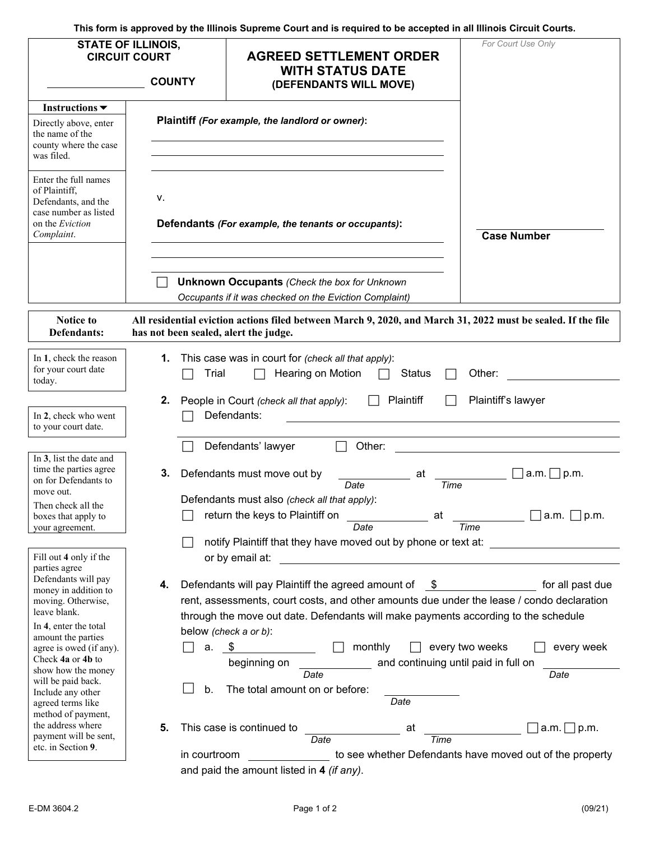**This form is approved by the Illinois Supreme Court and is required to be accepted in all Illinois Circuit Courts.** 

|                                                                                                                               | <b>STATE OF ILLINOIS,</b><br><b>CIRCUIT COURT</b><br><b>COUNTY</b>                                                                                                              | <b>AGREED SETTLEMENT ORDER</b><br><b>WITH STATUS DATE</b>                                                     | For Court Use Only                                       |
|-------------------------------------------------------------------------------------------------------------------------------|---------------------------------------------------------------------------------------------------------------------------------------------------------------------------------|---------------------------------------------------------------------------------------------------------------|----------------------------------------------------------|
|                                                                                                                               |                                                                                                                                                                                 | (DEFENDANTS WILL MOVE)                                                                                        |                                                          |
| Instructions $\blacktriangledown$                                                                                             |                                                                                                                                                                                 |                                                                                                               |                                                          |
| Directly above, enter<br>the name of the<br>county where the case<br>was filed.                                               |                                                                                                                                                                                 | Plaintiff (For example, the landlord or owner):                                                               |                                                          |
| Enter the full names<br>of Plaintiff,<br>Defendants, and the<br>case number as listed<br>on the <i>Eviction</i><br>Complaint. | ۷.                                                                                                                                                                              | Defendants (For example, the tenants or occupants):                                                           | <b>Case Number</b>                                       |
|                                                                                                                               |                                                                                                                                                                                 | <b>Unknown Occupants (Check the box for Unknown</b><br>Occupants if it was checked on the Eviction Complaint) |                                                          |
| Notice to<br>Defendants:                                                                                                      | has not been sealed, alert the judge.                                                                                                                                           | All residential eviction actions filed between March 9, 2020, and March 31, 2022 must be sealed. If the file  |                                                          |
| In 1, check the reason<br>for your court date<br>today.                                                                       | 1.<br>Trial                                                                                                                                                                     | This case was in court for (check all that apply):<br>Hearing on Motion<br><b>Status</b>                      | Other:                                                   |
|                                                                                                                               | 2.                                                                                                                                                                              | Plaintiff<br>People in Court (check all that apply):                                                          | Plaintiff's lawyer                                       |
| In 2, check who went<br>to your court date.                                                                                   |                                                                                                                                                                                 | Defendants:                                                                                                   |                                                          |
|                                                                                                                               |                                                                                                                                                                                 | Defendants' lawyer<br>Other:                                                                                  |                                                          |
| In 3, list the date and<br>time the parties agree<br>on for Defendants to<br>move out.                                        | З.                                                                                                                                                                              | Defendants must move out by<br>at<br>Date                                                                     | a.m.<br>$\Box$ p.m.<br>Time                              |
| Then check all the<br>boxes that apply to<br>your agreement.                                                                  |                                                                                                                                                                                 | Defendants must also (check all that apply):<br>return the keys to Plaintiff on<br>at<br>Date                 | a.m. $\Box$<br>p.m.<br>Time                              |
|                                                                                                                               |                                                                                                                                                                                 | notify Plaintiff that they have moved out by phone or text at:                                                |                                                          |
| Fill out 4 only if the<br>parties agree                                                                                       |                                                                                                                                                                                 | or by email at:                                                                                               |                                                          |
| Defendants will pay<br>money in addition to                                                                                   | 4.                                                                                                                                                                              | Defendants will pay Plaintiff the agreed amount of<br>-SS                                                     | for all past due                                         |
| moving. Otherwise,<br>leave blank.                                                                                            | rent, assessments, court costs, and other amounts due under the lease / condo declaration<br>through the move out date. Defendants will make payments according to the schedule |                                                                                                               |                                                          |
| In 4, enter the total<br>amount the parties                                                                                   |                                                                                                                                                                                 | below (check a or b):                                                                                         |                                                          |
| agree is owed (if any).                                                                                                       | \$<br>monthly<br>every two weeks<br>every week<br>a.                                                                                                                            |                                                                                                               |                                                          |
| Check 4a or 4b to<br>show how the money                                                                                       | and continuing until paid in full on<br>beginning on                                                                                                                            |                                                                                                               |                                                          |
| will be paid back.                                                                                                            | Date<br>Date                                                                                                                                                                    |                                                                                                               |                                                          |
| Include any other<br>agreed terms like                                                                                        | b.<br>The total amount on or before:<br>Date                                                                                                                                    |                                                                                                               |                                                          |
| method of payment,<br>the address where                                                                                       | 5.                                                                                                                                                                              | This case is continued to<br>at                                                                               | $a.m. \Box p.m.$                                         |
| payment will be sent,<br>etc. in Section 9.                                                                                   |                                                                                                                                                                                 | Time<br>Date                                                                                                  |                                                          |
|                                                                                                                               | in courtroom                                                                                                                                                                    |                                                                                                               | to see whether Defendants have moved out of the property |
|                                                                                                                               |                                                                                                                                                                                 | and paid the amount listed in 4 (if any).                                                                     |                                                          |